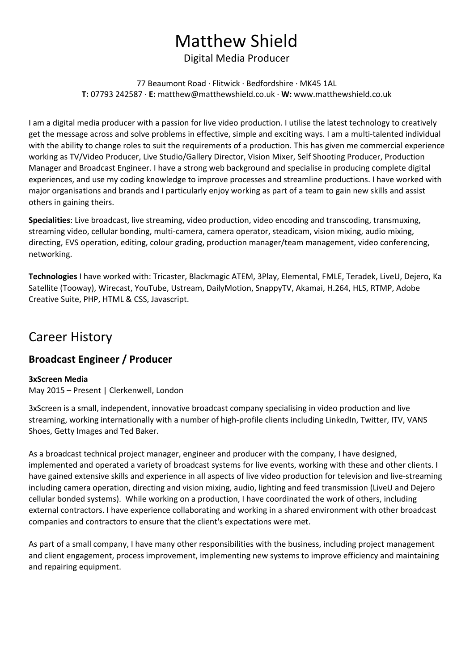# Matthew Shield

### Digital Media Producer

77 Beaumont Road · Flitwick · Bedfordshire · MK45 1AL **T:** 07793 242587 · **E:**matthew@matthewshield.co.uk · **W:**www.matthewshield.co.uk

I am a digital media producer with a passion for live video production. I utilise the latest technology to creatively get the message across and solve problems in effective, simple and exciting ways. I am a multi-talented individual with the ability to change roles to suit the requirements of a production. This has given me commercial experience working as TV/Video Producer, Live Studio/Gallery Director, Vision Mixer, Self Shooting Producer, Production Manager and Broadcast Engineer. I have a strong web background and specialise in producing complete digital experiences, and use my coding knowledge to improve processes and streamline productions. I have worked with major organisations and brands and I particularly enjoy working as part of a team to gain new skills and assist others in gaining theirs.

**Specialities**: Live broadcast, live streaming, video production, video encoding and transcoding, transmuxing, streaming video, cellular bonding, multi-camera, camera operator, steadicam, vision mixing, audio mixing, directing, EVS operation, editing, colour grading, production manager/team management, video conferencing, networking.

**Technologies**I have worked with: Tricaster, Blackmagic ATEM, 3Play, Elemental, FMLE, Teradek, LiveU, Dejero, Ka Satellite (Tooway), Wirecast, YouTube, Ustream, DailyMotion, SnappyTV, Akamai, H.264, HLS, RTMP, Adobe Creative Suite, PHP, HTML & CSS, Javascript.

# Career History

## **Broadcast Engineer / Producer**

#### **3xScreen Media**

May 2015 – Present | Clerkenwell, London

3xScreen is a small, independent, innovative broadcast company specialising in video production and live streaming, working internationally with a number of high-profile clients including LinkedIn, Twitter, ITV, VANS Shoes, Getty Images and Ted Baker.

As a broadcast technical project manager, engineer and producer with the company, I have designed, implemented and operated a variety of broadcast systems for live events, working with these and other clients. I have gained extensive skills and experience in all aspects of live video production for television and live-streaming including camera operation, directing and vision mixing, audio, lighting and feed transmission (LiveU and Dejero cellular bonded systems). While working on a production, I have coordinated the work of others, including external contractors. I have experience collaborating and working in a shared environment with other broadcast companies and contractors to ensure that the client's expectations were met.

As part of a small company, I have many other responsibilities with the business, including project management and client engagement, process improvement, implementing new systems to improve efficiency and maintaining and repairing equipment.